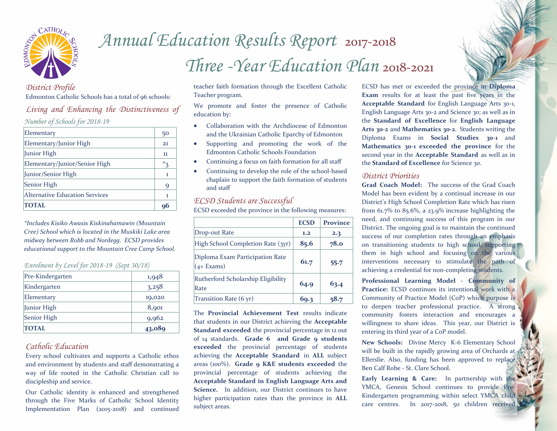

# *Annual Education Results Report* <sup>2017</sup>-<sup>2018</sup> *Three -Year Education Plan* 2018-<sup>2021</sup>

#### *District Profile* Edmonton Catholic Schools has a total of 96 schools:

# *Living and Enhancing the Distinctiveness of*

*Number of Schools for 2018-19* 

| Elementary                            | 50      |
|---------------------------------------|---------|
| Elementary/Junior High                | 21      |
| Junior High                           | 11      |
| Elementary/Junior/Senior High         | $*_{3}$ |
| Junior/Senior High                    | ı       |
| Senior High                           | 9       |
| <b>Alternative Education Services</b> | -1      |
| <b>TOTAL</b>                          | 96      |

*\*Includes Kisiko Awasis Kiskinahamawin (Mountain Cree) School which is located in the Muskiki Lake area midway between Robb and Nordegg. ECSD provides educational support to the Mountain Cree Camp School.* 

### *Enrolment by Level for 2018-19 (Sept 30/18)*

| Pre-Kindergarten | 1,948  |
|------------------|--------|
| Kindergarten     | 3,258  |
| Elementary       | 19,020 |
| Junior High      | 8,901  |
| Senior High      | 9,962  |
| <b>TOTAL</b>     | 43,089 |

# *Catholic Education*

Every school cultivates and supports a Catholic ethos and environment by students and staff demonstrating a way of life rooted in the Catholic Christian call to discipleship and service.

Our Catholic identity is enhanced and strengthened through the Five Marks of Catholic School Identity Implementation Plan (2015-2018) and continued teacher faith formation through the Excellent Catholic Teacher program.

We promote and foster the presence of Catholic education by:

- Collaboration with the Archdiocese of Edmonton and the Ukrainian Catholic Eparchy of Edmonton
- Supporting and promoting the work of the Edmonton Catholic Schools Foundation
- Continuing a focus on faith formation for all staff
- Continuing to develop the role of the school-based chaplain to support the faith formation of students and staff

### *ECSD Students are Successful*

ECSD exceeded the province in the following measures:

|                                                  | <b>ECSD</b> | <b>Province</b> |
|--------------------------------------------------|-------------|-----------------|
| Drop-out Rate                                    | 1.2         | 2.3             |
| High School Completion Rate (3yr)                | 85.6        | 78.0            |
| Diploma Exam Participation Rate<br>$(4 + Exams)$ | 61.7        | 55.7            |
| Rutherford Scholarship Eligibility<br>Rate       | 64.9        | 63.4            |
| Transition Rate (6 yr)                           | 69.3        | 58.7            |

The **Provincial Achievement Test** results indicate that students in our District achieving the **Acceptable Standard exceeded** the provincial percentage in 12 out of 14 standards. **Grade 6 and Grade 9 students exceeded** the provincial percentage of students achieving the **Acceptable Standard** in **ALL** subject areas (100%). **Grade 9 K&E students exceeded** the provincial percentage of students achieving the **Acceptable Standard in English Language Arts and Science.** In addition, our District continues to have higher participation rates than the province in **ALL**  subject areas.

ECSD has met or exceeded the province in **Diploma Exam** results for at least the past five years in the **Acceptable Standard** for English Language Arts 30-1, English Language Arts 30-2 and Science 30; as well as in the **Standard of Excellence** for **English Language Arts 30-2** and **Mathematics 30-2**. Students writing the Diploma Exams in **Social Studies 30-1** and **Mathematics 30-1 exceeded the province** for the second year in the **Acceptable Standard** as well as in the **Standard of Excellence** for Science 30.

#### *District Priorities*

**Grad Coach Model:** The success of the Grad Coach Model has been evident by a continual increase in our District's High School Completion Rate which has risen from 61.7% to 85.6%, a 23.9% increase highlighting the need, and continuing success of this program in our District. The ongoing goal is to maintain the continued success of our completion rates through an emphasis on transitioning students to high school, supporting them in high school and focusing on the various interventions necessary to stimulate the path of achieving a credential for non-completing students.

**Professional Learning Model - Community of Practice:** ECSD continues its intentional work with a Community of Practice Model (CoP) which purpose is to deepen teacher professional practice. A strong community fosters interaction and encourages a willingness to share ideas. This year, our District is entering its third year of a CoP model.

**New Schools:** Divine Mercy K-6 Elementary School will be built in the rapidly growing area of Orchards at Ellerslie. Also, funding has been approved to replace Ben Calf Robe - St. Clare School.

**Early Learning & Care:** In partnership with the YMCA, Genesis School continues to provide Pre-Kindergarten programming within select YMCA child care centres. In 2017-2018, 50 children received